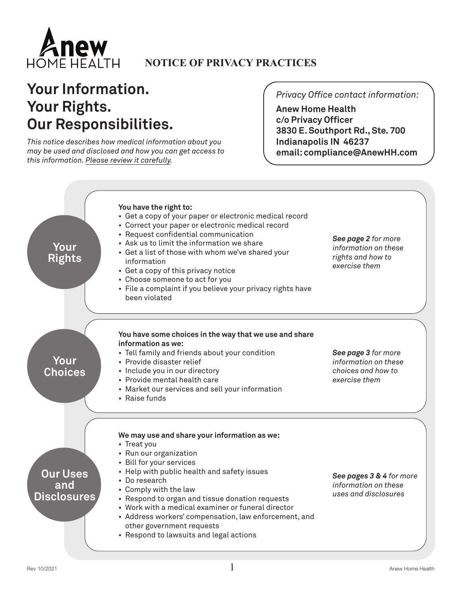

## **NOTICE OF PRIVACY PRACTICES**

# **Your Information. Your Rights. Our Responsibilities.**

*This notice describes how medical information about you may be used and disclosed and how you can get access to this information. Please review it carefully.*

### *Privacy Office contact information:*

**Anew Home Health c/o Privacy Officer 3830 E. Southport Rd., Ste. 700 Indianapolis IN 46237 email: compliance@AnewHH.com**

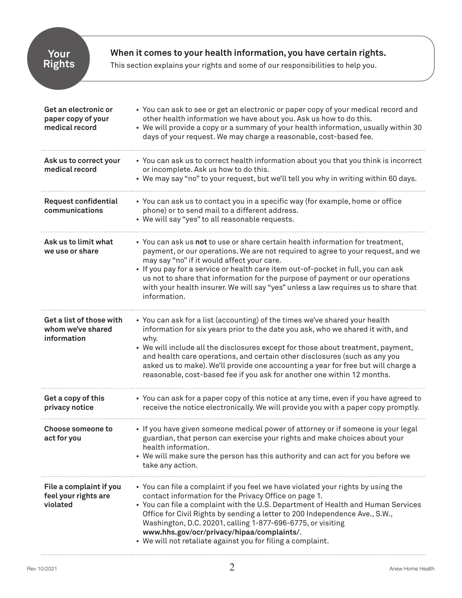**Your Rights** **When it comes to your health information, you have certain rights.**

This section explains your rights and some of our responsibilities to help you.

| Get an electronic or<br>paper copy of your<br>medical record | • You can ask to see or get an electronic or paper copy of your medical record and<br>other health information we have about you. Ask us how to do this.<br>• We will provide a copy or a summary of your health information, usually within 30<br>days of your request. We may charge a reasonable, cost-based fee.                                                                                                                                                                                     |
|--------------------------------------------------------------|----------------------------------------------------------------------------------------------------------------------------------------------------------------------------------------------------------------------------------------------------------------------------------------------------------------------------------------------------------------------------------------------------------------------------------------------------------------------------------------------------------|
| Ask us to correct your<br>medical record                     | • You can ask us to correct health information about you that you think is incorrect<br>or incomplete. Ask us how to do this.<br>• We may say "no" to your request, but we'll tell you why in writing within 60 days.                                                                                                                                                                                                                                                                                    |
| <b>Request confidential</b><br>communications                | • You can ask us to contact you in a specific way (for example, home or office<br>phone) or to send mail to a different address.<br>• We will say "yes" to all reasonable requests.                                                                                                                                                                                                                                                                                                                      |
| Ask us to limit what<br>we use or share                      | • You can ask us not to use or share certain health information for treatment,<br>payment, or our operations. We are not required to agree to your request, and we<br>may say "no" if it would affect your care.<br>• If you pay for a service or health care item out-of-pocket in full, you can ask<br>us not to share that information for the purpose of payment or our operations<br>with your health insurer. We will say "yes" unless a law requires us to share that<br>information.             |
| Get a list of those with<br>whom we've shared<br>information | • You can ask for a list (accounting) of the times we've shared your health<br>information for six years prior to the date you ask, who we shared it with, and<br>why.<br>• We will include all the disclosures except for those about treatment, payment,<br>and health care operations, and certain other disclosures (such as any you<br>asked us to make). We'll provide one accounting a year for free but will charge a<br>reasonable, cost-based fee if you ask for another one within 12 months. |
| Get a copy of this<br>privacy notice                         | • You can ask for a paper copy of this notice at any time, even if you have agreed to<br>receive the notice electronically. We will provide you with a paper copy promptly.                                                                                                                                                                                                                                                                                                                              |
| <b>Choose someone to</b><br>act for you                      | • If you have given someone medical power of attorney or if someone is your legal<br>guardian, that person can exercise your rights and make choices about your<br>health information.<br>• We will make sure the person has this authority and can act for you before we<br>take any action.                                                                                                                                                                                                            |
| File a complaint if you<br>feel your rights are<br>violated  | • You can file a complaint if you feel we have violated your rights by using the<br>contact information for the Privacy Office on page 1.<br>• You can file a complaint with the U.S. Department of Health and Human Services<br>Office for Civil Rights by sending a letter to 200 Independence Ave., S.W.,<br>Washington, D.C. 20201, calling 1-877-696-6775, or visiting<br>www.hhs.gov/ocr/privacy/hipaa/complaints/.<br>• We will not retaliate against you for filing a complaint.                 |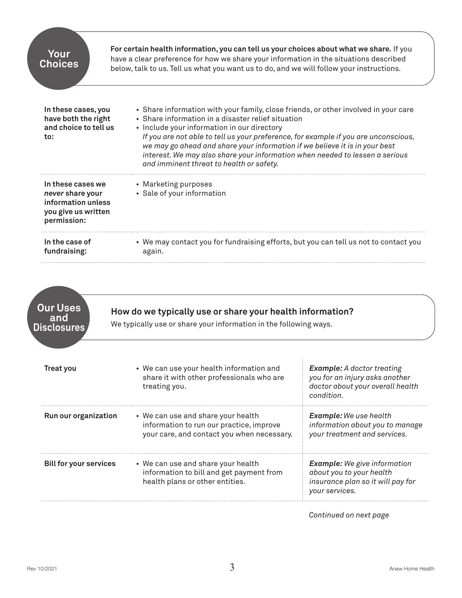| Your<br><b>Choices</b>                                                                            | For certain health information, you can tell us your choices about what we share. If you<br>have a clear preference for how we share your information in the situations described<br>below, talk to us. Tell us what you want us to do, and we will follow your instructions.                                                                                                                                                                                                              |
|---------------------------------------------------------------------------------------------------|--------------------------------------------------------------------------------------------------------------------------------------------------------------------------------------------------------------------------------------------------------------------------------------------------------------------------------------------------------------------------------------------------------------------------------------------------------------------------------------------|
| In these cases, you<br>have both the right<br>and choice to tell us<br>$\mathsf{to}$ :            | • Share information with your family, close friends, or other involved in your care<br>• Share information in a disaster relief situation<br>• Include your information in our directory<br>If you are not able to tell us your preference, for example if you are unconscious,<br>we may go ahead and share your information if we believe it is in your best<br>interest. We may also share your information when needed to lessen a serious<br>and imminent threat to health or safety. |
| In these cases we<br>never share your<br>information unless<br>you give us written<br>permission: | • Marketing purposes<br>• Sale of your information                                                                                                                                                                                                                                                                                                                                                                                                                                         |
| In the case of<br>fundraising:                                                                    | • We may contact you for fundraising efforts, but you can tell us not to contact you<br>again.                                                                                                                                                                                                                                                                                                                                                                                             |

| Our Uses<br>land   | How do we typically use or share your health information?         |
|--------------------|-------------------------------------------------------------------|
| <b>Disclosures</b> | We typically use or share your information in the following ways. |

| <b>Treat you</b>              | • We can use your health information and<br>share it with other professionals who are<br>treating you.                       | <b>Example:</b> A doctor treating<br>you for an injury asks another<br>doctor about your overall health<br>condition.  |
|-------------------------------|------------------------------------------------------------------------------------------------------------------------------|------------------------------------------------------------------------------------------------------------------------|
| Run our organization          | • We can use and share your health<br>information to run our practice, improve<br>your care, and contact you when necessary. | <b>Example:</b> We use health<br>information about you to manage<br>your treatment and services.                       |
| <b>Bill for your services</b> | • We can use and share your health<br>information to bill and get payment from<br>health plans or other entities.            | <b>Example:</b> We give information<br>about you to your health<br>insurance plan so it will pay for<br>your services. |

*Continued on next page*

**Our Uses and**